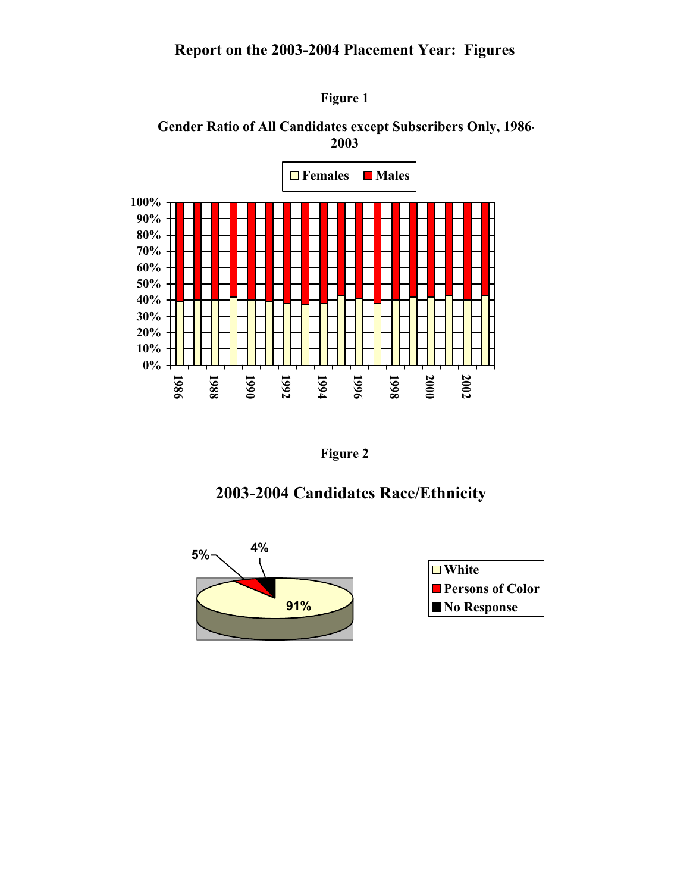## **Report on the 2003-2004 Placement Year: Figures**



**Gender Ratio of All Candidates except Subscribers Only, 1986- 2003**



**Figure 2** 

## **2003-2004 Candidates Race/Ethnicity**



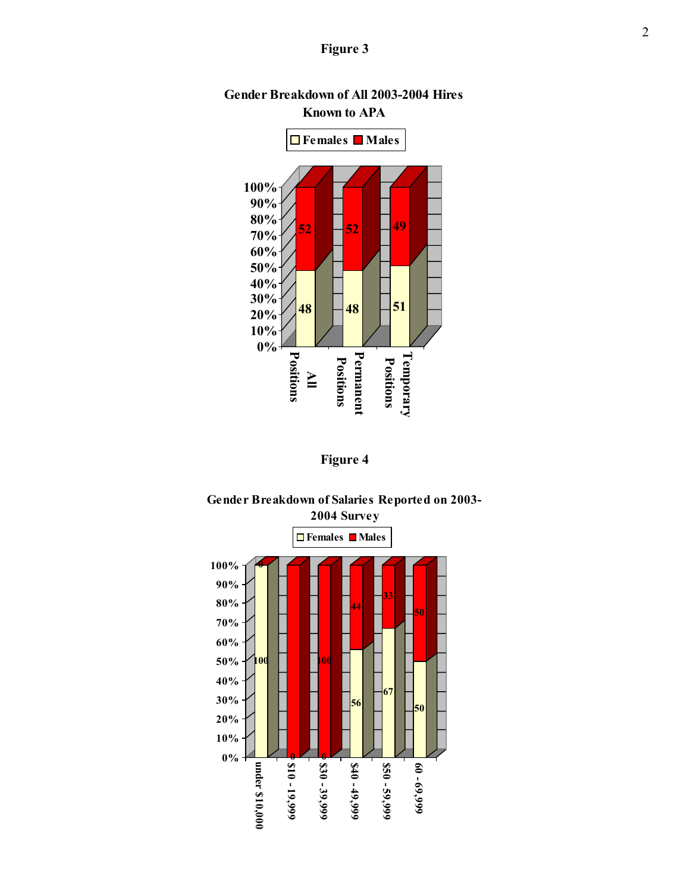### **Figure 3**



### **Gender Breakdown of All 2003-2004 Hires Known to APA**





# **Gender Breakdown of Salaries Reported on 2003-**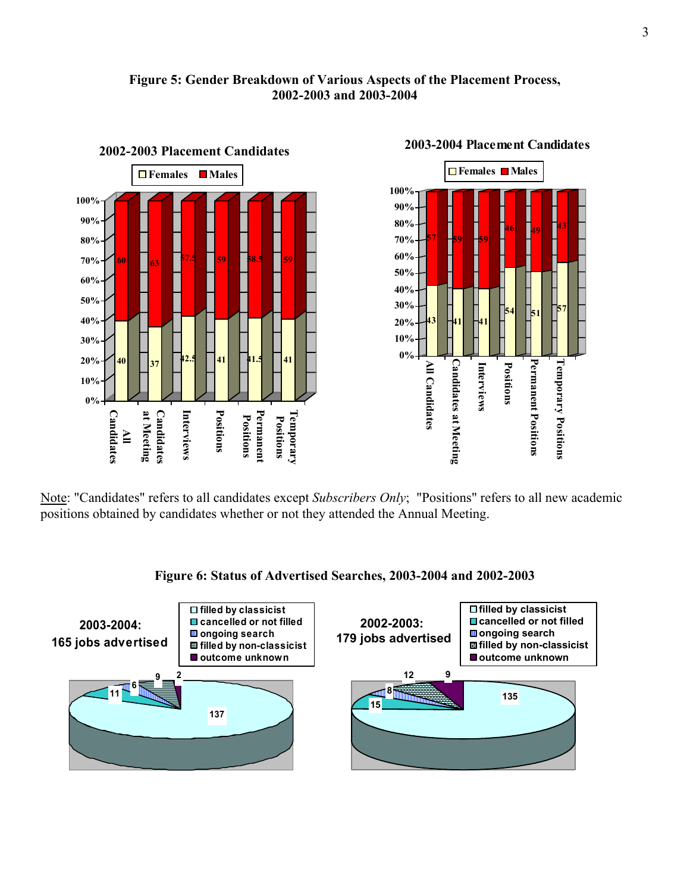### **Figure 5: Gender Breakdown of Various Aspects of the Placement Process, 2002-2003 and 2003-2004**



## **2003-2004 Placement Candidates**

**43 46 49 59 57 54 51 41** Permanent Positions Temporary Positions **Permanent Positions Temporary Positions** Interviews Positions **Interviews Positions**

Note: "Candidates" refers to all candidates except *Subscribers Only*; "Positions" refers to all new academic positions obtained by candidates whether or not they attended the Annual Meeting.



### **Figure 6: Status of Advertised Searches, 2003-2004 and 2002-2003**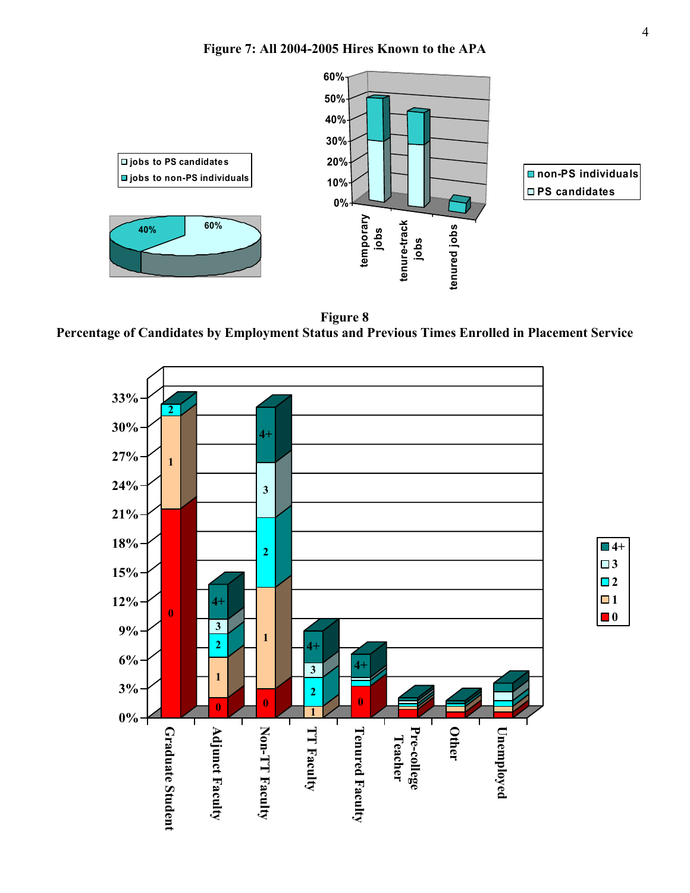

**Figure 8 Percentage of Candidates by Employment Status and Previous Times Enrolled in Placement Service**